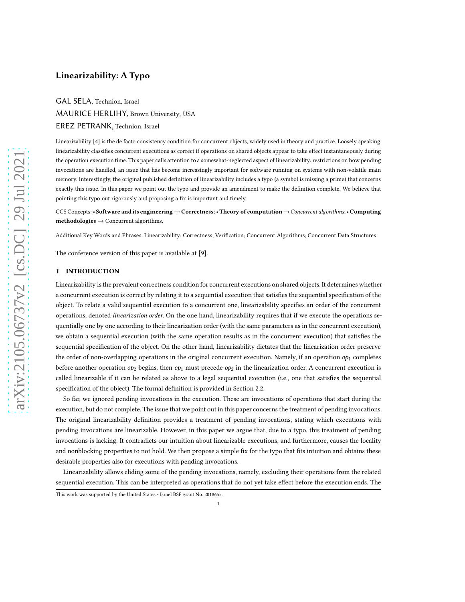# Linearizability: A Typo

GAL SELA, Technion, Israel MAURICE HERLIHY, Brown University, USA EREZ PETRANK, Technion, Israel

Linearizability [\[4\]](#page-12-0) is the de facto consistency condition for concurrent objects, widely used in theory and practice. Loosely speaking, linearizability classifies concurrent executions as correct if operations on shared objects appear to take effect instantaneously during the operation execution time. This paper calls attention to a somewhat-neglected aspect of linearizability: restrictions on how pending invocations are handled, an issue that has become increasingly important for software running on systems with non-volatile main memory. Interestingly, the original published definition of linearizability includes a typo (a symbol is missing a prime) that concerns exactly this issue. In this paper we point out the typo and provide an amendment to make the definition complete. We believe that pointing this typo out rigorously and proposing a fix is important and timely.

CCS Concepts: • Software and its engineering →Correctness; •Theory of computation→Concurrent algorithms; • Computing  $$ 

Additional Key Words and Phrases: Linearizability; Correctness; Verification; Concurrent Algorithms; Concurrent Data Structures

The conference version of this paper is available at [\[9\]](#page-12-1).

# 1 INTRODUCTION

Linearizability is the prevalent correctness condition for concurrent executions on shared objects. It determines whether a concurrent execution is correct by relating it to a sequential execution that satisfies the sequential specification of the object. To relate a valid sequential execution to a concurrent one, linearizability specifies an order of the concurrent operations, denoted *linearization order*. On the one hand, linearizability requires that if we execute the operations sequentially one by one according to their linearization order (with the same parameters as in the concurrent execution), we obtain a sequential execution (with the same operation results as in the concurrent execution) that satisfies the sequential specification of the object. On the other hand, linearizability dictates that the linearization order preserve the order of non-overlapping operations in the original concurrent execution. Namely, if an operation  $op_1$  completes before another operation  $op_2$  begins, then  $op_1$  must precede  $op_2$  in the linearization order. A concurrent execution is called linearizable if it can be related as above to a legal sequential execution (i.e., one that satisfies the sequential specification of the object). The formal definition is provided in Section [2.2.](#page-2-0)

So far, we ignored pending invocations in the execution. These are invocations of operations that start during the execution, but do not complete. The issue that we point out in this paper concerns the treatment of pending invocations. The original linearizability definition provides a treatment of pending invocations, stating which executions with pending invocations are linearizable. However, in this paper we argue that, due to a typo, this treatment of pending invocations is lacking. It contradicts our intuition about linearizable executions, and furthermore, causes the locality and nonblocking properties to not hold. We then propose a simple fix for the typo that fits intuition and obtains these desirable properties also for executions with pending invocations.

Linearizability allows eliding some of the pending invocations, namely, excluding their operations from the related sequential execution. This can be interpreted as operations that do not yet take effect before the execution ends. The

This work was supported by the United States - Israel BSF grant No. 2018655.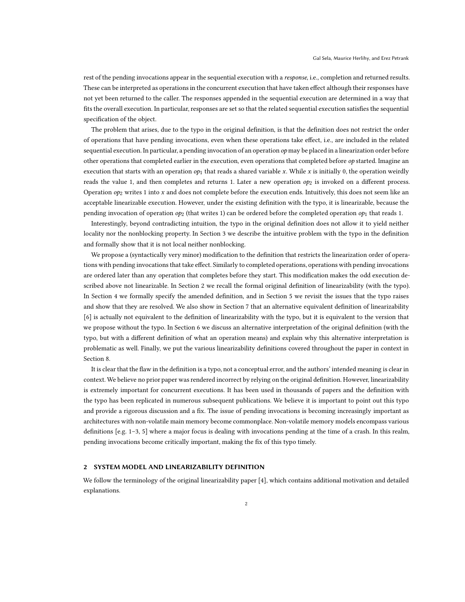rest of the pending invocations appear in the sequential execution with a *response*, i.e., completion and returned results. These can be interpreted as operations in the concurrent execution that have taken effect although their responses have not yet been returned to the caller. The responses appended in the sequential execution are determined in a way that fits the overall execution. In particular, responses are set so that the related sequential execution satisfies the sequential specification of the object.

The problem that arises, due to the typo in the original definition, is that the definition does not restrict the order of operations that have pending invocations, even when these operations take effect, i.e., are included in the related sequential execution. In particular, a pending invocation of an operation  $op$  may be placed in a linearization order before other operations that completed earlier in the execution, even operations that completed before  $op$  started. Imagine an execution that starts with an operation  $op_1$  that reads a shared variable x. While x is initially 0, the operation weirdly reads the value 1, and then completes and returns 1. Later a new operation  $op_2$  is invoked on a different process. Operation  $op_2$  writes 1 into x and does not complete before the execution ends. Intuitively, this does not seem like an acceptable linearizable execution. However, under the existing definition with the typo, it is linearizable, because the pending invocation of operation  $op_2$  (that writes 1) can be ordered before the completed operation  $op_1$  that reads 1.

Interestingly, beyond contradicting intuition, the typo in the original definition does not allow it to yield neither locality nor the nonblocking property. In Section [3](#page-3-0) we describe the intuitive problem with the typo in the definition and formally show that it is not local neither nonblocking.

We propose a (syntactically very minor) modification to the definition that restricts the linearization order of operations with pending invocations that take effect. Similarly to completed operations, operations with pending invocations are ordered later than any operation that completes before they start. This modification makes the odd execution described above not linearizable. In Section [2](#page-1-0) we recall the formal original definition of linearizability (with the typo). In Section [4](#page-5-0) we formally specify the amended definition, and in Section [5](#page-6-0) we revisit the issues that the typo raises and show that they are resolved. We also show in Section [7](#page-9-0) that an alternative equivalent definition of linearizability [\[6\]](#page-12-2) is actually not equivalent to the definition of linearizability with the typo, but it is equivalent to the version that we propose without the typo. In Section [6](#page-8-0) we discuss an alternative interpretation of the original definition (with the typo, but with a different definition of what an operation means) and explain why this alternative interpretation is problematic as well. Finally, we put the various linearizability definitions covered throughout the paper in context in Section [8.](#page-11-0)

It is clear that the flaw in the definition is a typo, not a conceptual error, and the authors' intended meaning is clear in context. We believe no prior paper was rendered incorrect by relying on the original definition. However, linearizability is extremely important for concurrent executions. It has been used in thousands of papers and the definition with the typo has been replicated in numerous subsequent publications. We believe it is important to point out this typo and provide a rigorous discussion and a fix. The issue of pending invocations is becoming increasingly important as architectures with non-volatile main memory become commonplace. Non-volatile memory models encompass various definitions [e.g. [1](#page-12-3)[–3,](#page-12-4) [5](#page-12-5)] where a major focus is dealing with invocations pending at the time of a crash. In this realm, pending invocations become critically important, making the fix of this typo timely.

## <span id="page-1-0"></span>2 SYSTEM MODEL AND LINEARIZABILITY DEFINITION

We follow the terminology of the original linearizability paper [\[4\]](#page-12-0), which contains additional motivation and detailed explanations.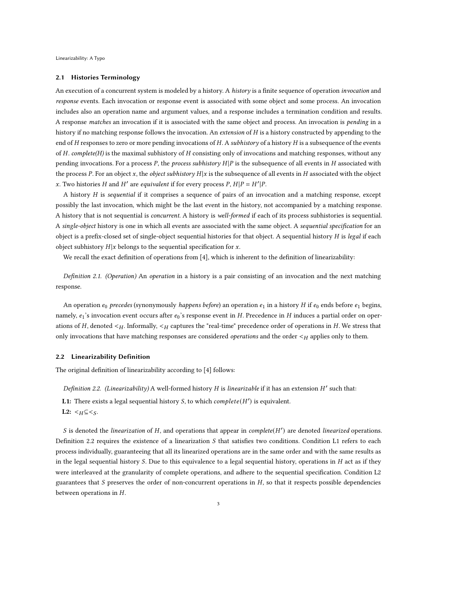#### 2.1 Histories Terminology

An execution of a concurrent system is modeled by a history. A *history* is a finite sequence of operation *invocation* and response events. Each invocation or response event is associated with some object and some process. An invocation includes also an operation name and argument values, and a response includes a termination condition and results. A response matches an invocation if it is associated with the same object and process. An invocation is pending in a history if no matching response follows the invocation. An extension of H is a history constructed by appending to the end of  $H$  responses to zero or more pending invocations of  $H$ . A subhistory of a history  $H$  is a subsequence of the events of  $H$ . complete( $H$ ) is the maximal subhistory of  $H$  consisting only of invocations and matching responses, without any pending invocations. For a process  $P$ , the process subhistory  $H|P$  is the subsequence of all events in  $H$  associated with the process P. For an object x, the *object subhistory*  $H|x$  is the subsequence of all events in H associated with the object x. Two histories H and H' are equivalent if for every process  $P$ ,  $H|P = H'|P$ .

A history  $H$  is *sequential* if it comprises a sequence of pairs of an invocation and a matching response, except possibly the last invocation, which might be the last event in the history, not accompanied by a matching response. A history that is not sequential is concurrent. A history is well-formed if each of its process subhistories is sequential. A single-object history is one in which all events are associated with the same object. A sequential specification for an object is a prefix-closed set of single-object sequential histories for that object. A sequential history H is legal if each object subhistory  $H|x$  belongs to the sequential specification for  $x$ .

<span id="page-2-2"></span>We recall the exact definition of operations from [\[4\]](#page-12-0), which is inherent to the definition of linearizability:

Definition 2.1. (Operation) An operation in a history is a pair consisting of an invocation and the next matching response.

An operation  $e_0$  precedes (synonymously happens before) an operation  $e_1$  in a history H if  $e_0$  ends before  $e_1$  begins, namely,  $e_1$ 's invocation event occurs after  $e_0$ 's response event in H. Precedence in H induces a partial order on operations of  $H$ , denoted  $\lt_{H}$ . Informally,  $\lt_{H}$  captures the "real-time" precedence order of operations in  $H$ . We stress that only invocations that have matching responses are considered *operations* and the order  $\lt_H$  applies only to them.

### <span id="page-2-0"></span>2.2 Linearizability Definition

<span id="page-2-1"></span>The original definition of linearizability according to [\[4\]](#page-12-0) follows:

Definition 2.2. (Linearizability) A well-formed history  $H$  is linearizable if it has an extension  $H'$  such that:

**L1:** There exists a legal sequential history S, to which  $complete(H')$  is equivalent.

L2:  $\lt_H \subseteq \lt_S$ .

 $S$  is denoted the linearization of  $H$ , and operations that appear in complete( $H'$ ) are denoted linearized operations. Definition [2.2](#page-2-1) requires the existence of a linearization  $S$  that satisfies two conditions. Condition L1 refers to each process individually, guaranteeing that all its linearized operations are in the same order and with the same results as in the legal sequential history S. Due to this equivalence to a legal sequential history, operations in  $H$  act as if they were interleaved at the granularity of complete operations, and adhere to the sequential specification. Condition L2 guarantees that  $S$  preserves the order of non-concurrent operations in  $H$ , so that it respects possible dependencies between operations in  $H$ .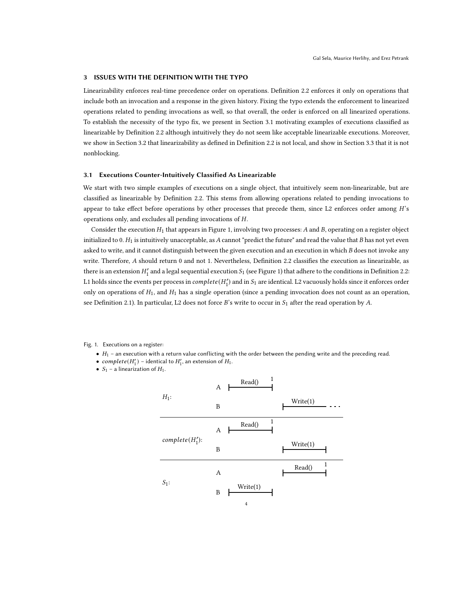# <span id="page-3-0"></span>3 ISSUES WITH THE DEFINITION WITH THE TYPO

Linearizability enforces real-time precedence order on operations. Definition [2.2](#page-2-1) enforces it only on operations that include both an invocation and a response in the given history. Fixing the typo extends the enforcement to linearized operations related to pending invocations as well, so that overall, the order is enforced on all linearized operations. To establish the necessity of the typo fix, we present in Section [3.1](#page-3-1) motivating examples of executions classified as linearizable by Definition [2.2](#page-2-1) although intuitively they do not seem like acceptable linearizable executions. Moreover, we show in Section [3.2](#page-4-0) that linearizability as defined in Definition [2.2](#page-2-1) is not local, and show in Section [3.3](#page-5-1) that it is not nonblocking.

## <span id="page-3-1"></span>3.1 Executions Counter-Intuitively Classified As Linearizable

We start with two simple examples of executions on a single object, that intuitively seem non-linearizable, but are classified as linearizable by Definition [2.2.](#page-2-1) This stems from allowing operations related to pending invocations to appear to take effect before operations by other processes that precede them, since L2 enforces order among H's operations only, and excludes all pending invocations of H.

Consider the execution  $H_1$  that appears in Figure [1,](#page-3-2) involving two processes: A and B, operating on a register object initialized to 0.  $H_1$  is intuitively unacceptable, as A cannot "predict the future" and read the value that B has not yet even asked to write, and it cannot distinguish between the given execution and an execution in which B does not invoke any write. Therefore, A should return 0 and not 1. Nevertheless, Definition [2.2](#page-2-1) classifies the execution as linearizable, as there is an extension  $H'_1$  and a legal sequential execution  $S_1$  (see Figure [1\)](#page-3-2) that adhere to the conditions in Definition [2.2:](#page-2-1) L1 holds since the events per process in  $complete(H'_1)$  and in  $S_1$  are identical. L2 vacuously holds since it enforces order only on operations of  $H_1$ , and  $H_1$  has a single operation (since a pending invocation does not count as an operation, see Definition [2.1\)](#page-2-2). In particular, L2 does not force  $B$ 's write to occur in  $S_1$  after the read operation by A.

<span id="page-3-2"></span>Fig. 1. Executions on a register:

- $\bullet$   $H_1$  an execution with a return value conflicting with the order between the pending write and the preceding read.
- $complete(H'_1)$  identical to  $H'_1$ , an extension of  $H_1$ .
- $S_1$  a linearization of  $H_1$ .

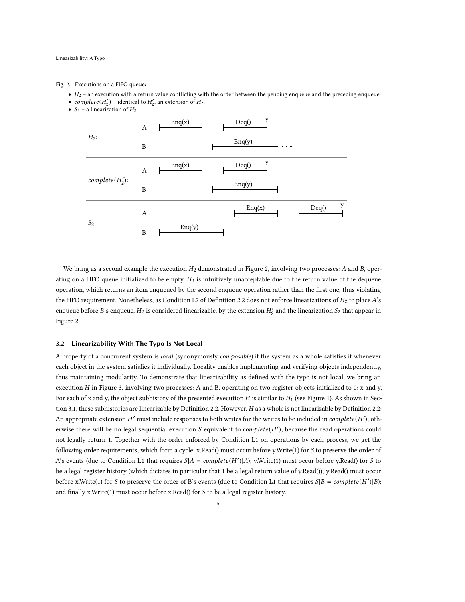#### <span id="page-4-1"></span>Fig. 2. Executions on a FIFO queue:

- $\bullet$   $H_2$  an execution with a return value conflicting with the order between the pending enqueue and the preceding enqueue.
- $complete(H'_2)$  identical to  $H'_2$ , an extension of  $H_2$ .
- $S_2$  a linearization of  $H_2$ .



We bring as a second example the execution  $H_2$  demonstrated in Figure [2,](#page-4-1) involving two processes: A and B, operating on a FIFO queue initialized to be empty.  $H_2$  is intuitively unacceptable due to the return value of the dequeue operation, which returns an item enqueued by the second enqueue operation rather than the first one, thus violating the FIFO requirement. Nonetheless, as Condition L2 of Definition [2.2](#page-2-1) does not enforce linearizations of  $H_2$  to place  $A$ 's enqueue before B's enqueue,  $H_2$  is considered linearizable, by the extension  $H'_2$  and the linearization  $S_2$  that appear in Figure [2.](#page-4-1)

### <span id="page-4-0"></span>3.2 Linearizability With The Typo Is Not Local

A property of a concurrent system is *local* (synonymously *composable*) if the system as a whole satisfies it whenever each object in the system satisfies it individually. Locality enables implementing and verifying objects independently, thus maintaining modularity. To demonstrate that linearizability as defined with the typo is not local, we bring an execution  $H$  in Figure [3,](#page-5-2) involving two processes: A and B, operating on two register objects initialized to 0: x and y. For each of x and y, the object subhistory of the presented execution  $H$  is similar to  $H_1$  (see Figure [1\)](#page-3-2). As shown in Sec-tion [3.1,](#page-3-1) these subhistories are linearizable by Definition [2.2.](#page-2-1) However,  $H$  as a whole is not linearizable by Definition [2.2:](#page-2-1) An appropriate extension  $H'$  must include responses to both writes for the writes to be included in *complete*( $H'$ ), otherwise there will be no legal sequential execution S equivalent to  $complete(H')$ , because the read operations could not legally return 1. Together with the order enforced by Condition L1 on operations by each process, we get the following order requirements, which form a cycle: x.Read() must occur before y.Write(1) for S to preserve the order of A's events (due to Condition L1 that requires  $S|A = complete(H')|A)$ ; y.Write(1) must occur before y.Read() for S to be a legal register history (which dictates in particular that 1 be a legal return value of y.Read()); y.Read() must occur before x.Write(1) for S to preserve the order of B's events (due to Condition L1 that requires  $S|B = complete(H')|B$ ); and finally x.Write(1) must occur before x.Read() for  $S$  to be a legal register history.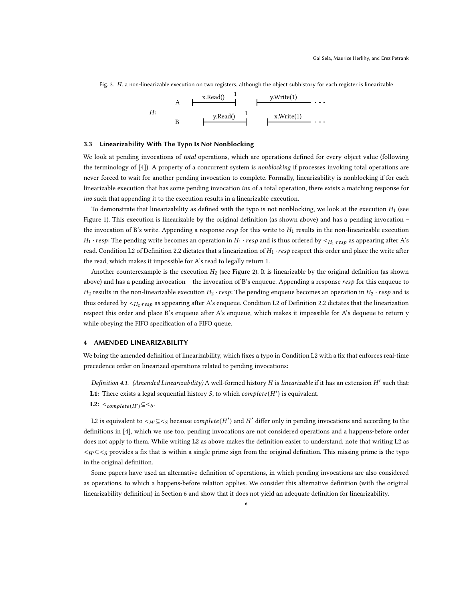

<span id="page-5-2"></span>Fig. 3. H, a non-linearizable execution on two registers, although the object subhistory for each register is linearizable

# <span id="page-5-1"></span>3.3 Linearizability With The Typo Is Not Nonblocking

We look at pending invocations of total operations, which are operations defined for every object value (following the terminology of [\[4\]](#page-12-0)). A property of a concurrent system is *nonblocking* if processes invoking total operations are never forced to wait for another pending invocation to complete. Formally, linearizability is nonblocking if for each linearizable execution that has some pending invocation inv of a total operation, there exists a matching response for inv such that appending it to the execution results in a linearizable execution.

To demonstrate that linearizability as defined with the typo is not nonblocking, we look at the execution  $H_1$  (see Figure [1\)](#page-3-2). This execution is linearizable by the original definition (as shown above) and has a pending invocation – the invocation of B's write. Appending a response  $resp$  for this write to  $H_1$  results in the non-linearizable execution  $H_1 \cdot resp$ : The pending write becomes an operation in  $H_1 \cdot resp$  and is thus ordered by  $\lt_{H_1} \cdot resp$  as appearing after A's read. Condition L2 of Definition [2.2](#page-2-1) dictates that a linearization of  $H_1 \cdot resp$  respect this order and place the write after the read, which makes it impossible for A's read to legally return 1.

Another counterexample is the execution  $H_2$  (see Figure [2\)](#page-4-1). It is linearizable by the original definition (as shown above) and has a pending invocation – the invocation of B's enqueue. Appending a response  $resp$  for this enqueue to  $H_2$  results in the non-linearizable execution  $H_2 \cdot resp$ : The pending enqueue becomes an operation in  $H_2 \cdot resp$  and is thus ordered by  $\lt_{H_2}$  resp as appearing after A's enqueue. Condition L2 of Definition [2.2](#page-2-1) dictates that the linearization respect this order and place B's enqueue after A's enqueue, which makes it impossible for A's dequeue to return y while obeying the FIFO specification of a FIFO queue.

### <span id="page-5-0"></span>4 AMENDED LINEARIZABILITY

<span id="page-5-3"></span>We bring the amended definition of linearizability, which fixes a typo in Condition L2 with a fix that enforces real-time precedence order on linearized operations related to pending invocations:

Definition 4.1. (Amended Linearizability) A well-formed history H is linearizable if it has an extension H' such that: **L1:** There exists a legal sequential history S, to which  $complete(H')$  is equivalent.

L2:  $\lt_{complete(H')} \subseteq \lt_{S}$ .

L2 is equivalent to  $\lt_{H'}\subseteq\lt_S$  because *complete*( $H'$ ) and  $H'$  differ only in pending invocations and according to the definitions in [\[4](#page-12-0)], which we use too, pending invocations are not considered operations and a happens-before order does not apply to them. While writing L2 as above makes the definition easier to understand, note that writing L2 as  $\langle H \rangle \leq \langle g \rangle$  provides a fix that is within a single prime sign from the original definition. This missing prime is the typo in the original definition.

Some papers have used an alternative definition of operations, in which pending invocations are also considered as operations, to which a happens-before relation applies. We consider this alternative definition (with the original linearizability definition) in Section [6](#page-8-0) and show that it does not yield an adequate definition for linearizability.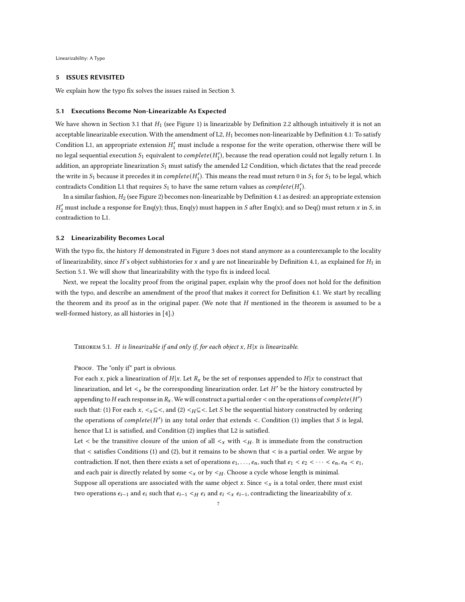### <span id="page-6-0"></span>5 ISSUES REVISITED

<span id="page-6-1"></span>We explain how the typo fix solves the issues raised in Section [3.](#page-3-0)

#### 5.1 Executions Become Non-Linearizable As Expected

We have shown in Section [3.1](#page-3-1) that  $H_1$  (see Figure [1\)](#page-3-2) is linearizable by Definition [2.2](#page-2-1) although intuitively it is not an acceptable linearizable execution. With the amendment of L2,  $H_1$  becomes non-linearizable by Definition [4.1:](#page-5-3) To satisfy Condition L1, an appropriate extension  $H'_1$  must include a response for the write operation, otherwise there will be no legal sequential execution  $S_1$  equivalent to  $\mathit{complete}(H_1'),$  because the read operation could not legally return 1. In addition, an appropriate linearization  $S_1$  must satisfy the amended L2 Condition, which dictates that the read precede the write in  $S_1$  because it precedes it in  $complete(H'_1)$ . This means the read must return 0 in  $S_1$  for  $S_1$  to be legal, which contradicts Condition L1 that requires  $S_1$  to have the same return values as  $complete(H'_1)$ .

In a similar fashion,  $H_2$  (see Figure [2\)](#page-4-1) becomes non-linearizable by Definition [4.1](#page-5-3) as desired: an appropriate extension  $H'_2$  must include a response for Enq(y); thus, Enq(y) must happen in S after Enq(x); and so Deq() must return  $x$  in  $S$ , in contradiction to L1.

#### 5.2 Linearizability Becomes Local

With the typo fix, the history  $H$  demonstrated in Figure [3](#page-5-2) does not stand anymore as a counterexample to the locality of linearizability, since H's object subhistories for x and y are not linearizable by Definition [4.1,](#page-5-3) as explained for  $H_1$  in Section [5.1.](#page-6-1) We will show that linearizability with the typo fix is indeed local.

<span id="page-6-2"></span>Next, we repeat the locality proof from the original paper, explain why the proof does not hold for the definition with the typo, and describe an amendment of the proof that makes it correct for Definition [4.1.](#page-5-3) We start by recalling the theorem and its proof as in the original paper. (We note that  $H$  mentioned in the theorem is assumed to be a well-formed history, as all histories in [\[4](#page-12-0)].)

THEOREM 5.1. H is linearizable if and only if, for each object  $x$ ,  $H|x$  is linearizable.

PROOF. The "only if" part is obvious.

For each x, pick a linearization of  $H|x$ . Let  $R_x$  be the set of responses appended to  $H|x$  to construct that linearization, and let  $\lt_x$  be the corresponding linearization order. Let  $H'$  be the history constructed by appending to  $H$  each response in  $R_x$  . We will construct a partial order  $<$  on the operations of  $complete(H^\prime)$ such that: (1) For each  $x, \leq x \leq \leq$ , and (2)  $\leq H \leq \leq$ . Let S be the sequential history constructed by ordering the operations of  $complete(H')$  in any total order that extends <. Condition (1) implies that S is legal, hence that L1 is satisfied, and Condition (2) implies that L2 is satisfied.

Let  $\lt$  be the transitive closure of the union of all  $\lt_x$  with  $\lt_y$ . It is immediate from the construction that < satisfies Conditions (1) and (2), but it remains to be shown that < is a partial order. We argue by contradiction. If not, then there exists a set of operations  $e_1, \ldots, e_n$ , such that  $e_1 < e_2 < \cdots < e_n, e_n < e_1$ , and each pair is directly related by some  $\lt_x$  or by  $\lt_H$ . Choose a cycle whose length is minimal.

Suppose all operations are associated with the same object x. Since  $\lt_x$  is a total order, there must exist two operations  $e_{i-1}$  and  $e_i$  such that  $e_{i-1}$  <  $H$   $e_i$  and  $e_i$  <  $x$   $e_{i-1}$ , contradicting the linearizability of  $x$ .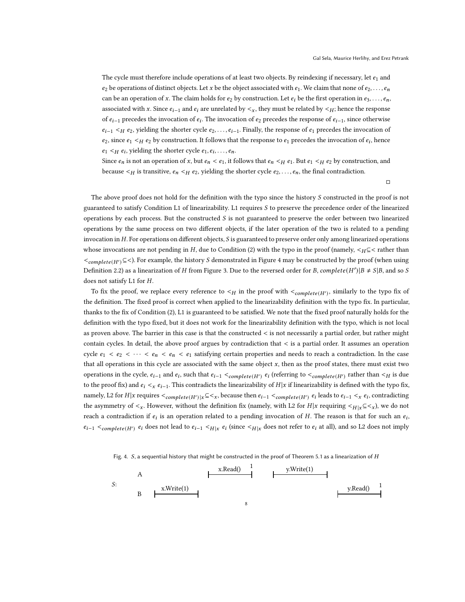The cycle must therefore include operations of at least two objects. By reindexing if necessary, let  $e_1$  and  $e_2$  be operations of distinct objects. Let x be the object associated with  $e_1$ . We claim that none of  $e_2, \ldots, e_n$ can be an operation of x. The claim holds for  $e_2$  by construction. Let  $e_i$  be the first operation in  $e_3, \ldots, e_n$ , associated with x. Since  $e_{i-1}$  and  $e_i$  are unrelated by  $\lt_{x}$ , they must be related by  $\lt_{H}$ ; hence the response of  $e_{i-1}$  precedes the invocation of  $e_i$ . The invocation of  $e_2$  precedes the response of  $e_{i-1}$ , since otherwise  $e_{i-1}$   $\lt_H$   $e_2$ , yielding the shorter cycle  $e_2, \ldots, e_{i-1}$ . Finally, the response of  $e_1$  precedes the invocation of  $e_2$ , since  $e_1 <_H e_2$  by construction. It follows that the response to  $e_1$  precedes the invocation of  $e_i$ , hence  $e_1 <_{H} e_i$ , yielding the shorter cycle  $e_1, e_i, \ldots, e_n$ .

Since  $e_n$  is not an operation of x, but  $e_n < e_1$ , it follows that  $e_n < H$ ,  $e_1$ . But  $e_1 < H$ ,  $e_2$  by construction, and because  $\lt H$  is transitive,  $e_n \lt H e_2$ , yielding the shorter cycle  $e_2, \ldots, e_n$ , the final contradiction.

 $\Box$ 

The above proof does not hold for the definition with the typo since the history S constructed in the proof is not guaranteed to satisfy Condition L1 of linearizability. L1 requires  $S$  to preserve the precedence order of the linearized operations by each process. But the constructed  $S$  is not guaranteed to preserve the order between two linearized operations by the same process on two different objects, if the later operation of the two is related to a pending invocation in  $H$ . For operations on different objects,  $S$  is guaranteed to preserve order only among linearized operations whose invocations are not pending in  $H$ , due to Condition (2) with the typo in the proof (namely,  $\lt H \subseteq$  rather than  $\leq_{complete(H')}\subseteq\leq$ ). For example, the history S demonstrated in Figure [4](#page-7-0) may be constructed by the proof (when using Definition [2.2\)](#page-2-1) as a linearization of H from Figure [3.](#page-5-2) Due to the reversed order for B, complete(H')  $|B \neq S|B$ , and so S does not satisfy L1 for H.

To fix the proof, we replace every reference to  $\lt_H$  in the proof with  $\lt_{complete(H')}$ , similarly to the typo fix of the definition. The fixed proof is correct when applied to the linearizability definition with the typo fix. In particular, thanks to the fix of Condition (2), L1 is guaranteed to be satisfied. We note that the fixed proof naturally holds for the definition with the typo fixed, but it does not work for the linearizability definition with the typo, which is not local as proven above. The barrier in this case is that the constructed < is not necessarily a partial order, but rather might contain cycles. In detail, the above proof argues by contradiction that < is a partial order. It assumes an operation cycle  $e_1 < e_2 < \cdots < e_n < e_n < e_1$  satisfying certain properties and needs to reach a contradiction. In the case that all operations in this cycle are associated with the same object  $x$ , then as the proof states, there must exist two operations in the cycle,  $e_{i-1}$  and  $e_i$ , such that  $e_{i-1} <_{complete(H')} e_i$  (referring to  $<_{complete(H')}$  rather than  $<_{H}$  is due to the proof fix) and  $e_i <_x e_{i-1}$ . This contradicts the linearizability of  $H|x$  if linearizability is defined with the typo fix, namely, L2 for  $H|x$  requires  $\lt_{complete(H')|x} \subseteq \lt_x$ , because then  $e_{i-1} \lt_{complete(H')} e_i$  leads to  $e_{i-1} \lt_x e_i$ , contradicting the asymmetry of  $\langle x, \rangle$ . However, without the definition fix (namely, with L2 for H|x requiring  $\langle H | x \subseteq \langle x \rangle$ ), we do not reach a contradiction if  $e_i$  is an operation related to a pending invocation of H. The reason is that for such an  $e_i$ ,  $e_{i-1} <_{complete(H')} e_i$  does not lead to  $e_{i-1} <_{H|x} e_i$  (since  $\lt H|x$  does not refer to  $e_i$  at all), and so L2 does not imply

<span id="page-7-0"></span>Fig. 4.  $S$ , a sequential history that might be constructed in the proof of Theorem [5.1](#page-6-2) as a linearization of  $H$ 

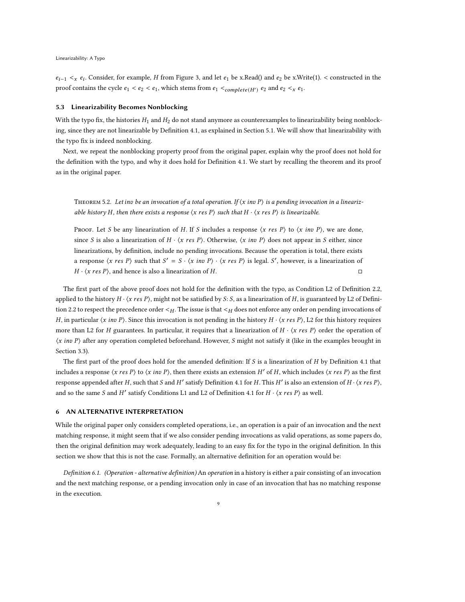$e_{i-1} <sub>x</sub> e_i$ . Consider, for example, H from Figure [3,](#page-5-2) and let  $e_1$  be x.Read() and  $e_2$  be x.Write(1). < constructed in the proof contains the cycle  $e_1 < e_2 < e_1$ , which stems from  $e_1 <$ <sub>complete(H')</sub>  $e_2$  and  $e_2 <$ <sub>x</sub>  $e_1$ .

#### 5.3 Linearizability Becomes Nonblocking

With the typo fix, the histories  $H_1$  and  $H_2$  do not stand anymore as counterexamples to linearizability being nonblocking, since they are not linearizable by Definition [4.1,](#page-5-3) as explained in Section [5.1.](#page-6-1) We will show that linearizability with the typo fix is indeed nonblocking.

Next, we repeat the nonblocking property proof from the original paper, explain why the proof does not hold for the definition with the typo, and why it does hold for Definition [4.1.](#page-5-3) We start by recalling the theorem and its proof as in the original paper.

THEOREM 5.2. Let inv be an invocation of a total operation. If  $\langle x \text{ inv } P \rangle$  is a pending invocation in a linearizable history H, then there exists a response  $\langle x \text{ res } P \rangle$  such that  $H \cdot \langle x \text{ res } P \rangle$  is linearizable.

PROOF. Let S be any linearization of H. If S includes a response  $\langle x \text{ res } P \rangle$  to  $\langle x \text{ inv } P \rangle$ , we are done, since S is also a linearization of  $H \cdot \langle x \text{ res } P \rangle$ . Otherwise,  $\langle x \text{ inv } P \rangle$  does not appear in S either, since linearizations, by definition, include no pending invocations. Because the operation is total, there exists a response  $\langle x \text{ res } P \rangle$  such that  $S' = S \cdot \langle x \text{ inv } P \rangle \cdot \langle x \text{ res } P \rangle$  is legal. S', however, is a linearization of  $H \cdot \langle x \text{ res } P \rangle$ , and hence is also a linearization of  $H$ .

The first part of the above proof does not hold for the definition with the typo, as Condition L2 of Definition [2.2,](#page-2-1) applied to the history  $H \cdot \langle x \text{ res } P \rangle$ , might not be satisfied by S: S, as a linearization of H, is guaranteed by L2 of Defini-tion [2.2](#page-2-1) to respect the precedence order  $\lt_{H}$ . The issue is that  $\lt_{H}$  does not enforce any order on pending invocations of H, in particular  $\langle x \text{ inv } P \rangle$ . Since this invocation is not pending in the history  $H \cdot \langle x \text{ res } P \rangle$ , L2 for this history requires more than L2 for H guarantees. In particular, it requires that a linearization of  $H \cdot \langle x \text{ res } P \rangle$  order the operation of  $\langle x \text{ inv } P \rangle$  after any operation completed beforehand. However, S might not satisfy it (like in the examples brought in Section [3.3\)](#page-5-1).

The first part of the proof does hold for the amended definition: If  $S$  is a linearization of  $H$  by Definition [4.1](#page-5-3) that includes a response  $\langle x \text{ res } P \rangle$  to  $\langle x \text{ inv } P \rangle$ , then there exists an extension H' of H, which includes  $\langle x \text{ res } P \rangle$  as the first response appended after H, such that S and H' satisfy Definition [4.1](#page-5-3) for H. This H' is also an extension of H $\cdot$   $\langle x \text{ res } P \rangle$ , and so the same S and H' satisfy Conditions L1 and L2 of Definition [4.1](#page-5-3) for  $H \cdot \langle x \text{ res } P \rangle$  as well.

# <span id="page-8-0"></span>6 AN ALTERNATIVE INTERPRETATION

While the original paper only considers completed operations, i.e., an operation is a pair of an invocation and the next matching response, it might seem that if we also consider pending invocations as valid operations, as some papers do, then the original definition may work adequately, leading to an easy fix for the typo in the original definition. In this section we show that this is not the case. Formally, an alternative definition for an operation would be:

<span id="page-8-1"></span>Definition 6.1. (Operation - alternative definition) An operation in a history is either a pair consisting of an invocation and the next matching response, or a pending invocation only in case of an invocation that has no matching response in the execution.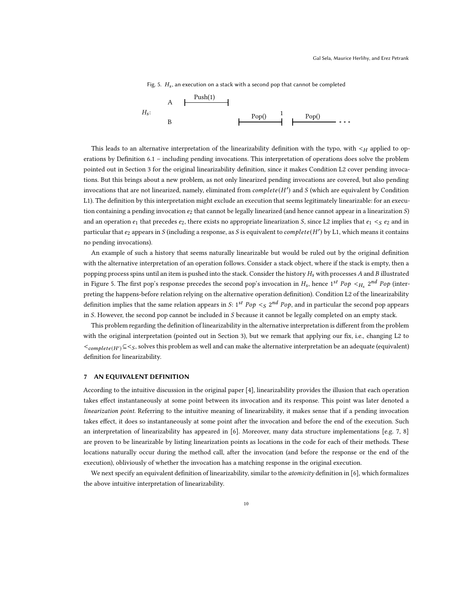<span id="page-9-1"></span>

Fig. 5.  $H_s$ , an execution on a stack with a second pop that cannot be completed

This leads to an alternative interpretation of the linearizability definition with the typo, with  $\lt H$  applied to operations by Definition [6.1](#page-8-1) – including pending invocations. This interpretation of operations does solve the problem pointed out in Section [3](#page-3-0) for the original linearizability definition, since it makes Condition L2 cover pending invocations. But this brings about a new problem, as not only linearized pending invocations are covered, but also pending invocations that are not linearized, namely, eliminated from  $complete(H')$  and  $S$  (which are equivalent by Condition L1). The definition by this interpretation might exclude an execution that seems legitimately linearizable: for an execution containing a pending invocation  $e_2$  that cannot be legally linearized (and hence cannot appear in a linearization  $S$ ) and an operation  $e_1$  that precedes  $e_2$ , there exists no appropriate linearization S, since L2 implies that  $e_1 <_S e_2$  and in particular that  $e_2$  appears in  $S$  (including a response, as  $S$  is equivalent to  $complete(H')$  by L1, which means it contains no pending invocations).

An example of such a history that seems naturally linearizable but would be ruled out by the original definition with the alternative interpretation of an operation follows. Consider a stack object, where if the stack is empty, then a popping process spins until an item is pushed into the stack. Consider the history  $H_s$  with processes A and B illustrated in Figure [5.](#page-9-1) The first pop's response precedes the second pop's invocation in  $H_s$ , hence 1st Pop  $<_H_s$  2nd Pop (interpreting the happens-before relation relying on the alternative operation definition). Condition L2 of the linearizability definition implies that the same relation appears in S:  $1^{st}$  Po $p <_S 2^{nd}$  Po $p$ , and in particular the second pop appears in S. However, the second pop cannot be included in S because it cannot be legally completed on an empty stack.

This problem regarding the definition of linearizability in the alternative interpretation is different from the problem with the original interpretation (pointed out in Section [3\)](#page-3-0), but we remark that applying our fix, i.e., changing L2 to  $\leq_{complete(H')}\subseteq\leq_S$ , solves this problem as well and can make the alternative interpretation be an adequate (equivalent) definition for linearizability.

## <span id="page-9-0"></span>7 AN EQUIVALENT DEFINITION

According to the intuitive discussion in the original paper [\[4\]](#page-12-0), linearizability provides the illusion that each operation takes effect instantaneously at some point between its invocation and its response. This point was later denoted a linearization point. Referring to the intuitive meaning of linearizability, it makes sense that if a pending invocation takes effect, it does so instantaneously at some point after the invocation and before the end of the execution. Such an interpretation of linearizability has appeared in [\[6\]](#page-12-2). Moreover, many data structure implementations [e.g. [7,](#page-12-6) [8](#page-12-7)] are proven to be linearizable by listing linearization points as locations in the code for each of their methods. These locations naturally occur during the method call, after the invocation (and before the response or the end of the execution), obliviously of whether the invocation has a matching response in the original execution.

<span id="page-9-2"></span>We next specify an equivalent definition of linearizability, similar to the *atomicity* definition in [\[6](#page-12-2)], which formalizes the above intuitive interpretation of linearizability.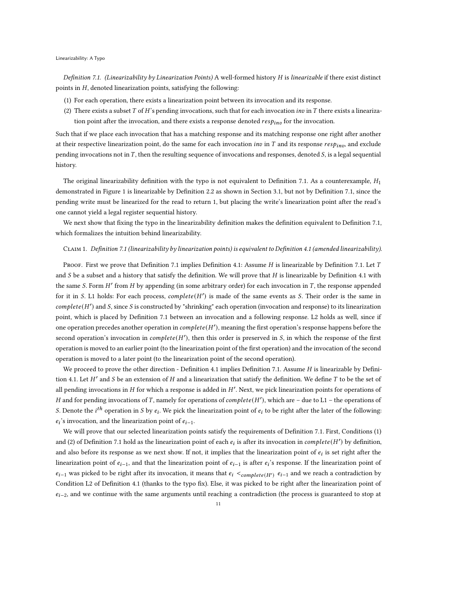### Linearizability: A Typo

Definition 7.1. (Linearizability by Linearization Points) A well-formed history  $H$  is linearizable if there exist distinct points in  $H$ , denoted linearization points, satisfying the following:

- (1) For each operation, there exists a linearization point between its invocation and its response.
- (2) There exists a subset  $T$  of  $H$ 's pending invocations, such that for each invocation *inv* in  $T$  there exists a linearization point after the invocation, and there exists a response denoted  $resp_{inp}$  for the invocation.

Such that if we place each invocation that has a matching response and its matching response one right after another at their respective linearization point, do the same for each invocation *inv* in T and its response  $resp_{in}$ , and exclude pending invocations not in  $T$ , then the resulting sequence of invocations and responses, denoted  $S$ , is a legal sequential history.

The original linearizability definition with the typo is not equivalent to Definition [7.1.](#page-9-2) As a counterexample,  $H_1$ demonstrated in Figure [1](#page-3-2) is linearizable by Definition [2.2](#page-2-1) as shown in Section [3.1,](#page-3-1) but not by Definition [7.1,](#page-9-2) since the pending write must be linearized for the read to return 1, but placing the write's linearization point after the read's one cannot yield a legal register sequential history.

We next show that fixing the typo in the linearizability definition makes the definition equivalent to Definition [7.1,](#page-9-2) which formalizes the intuition behind linearizability.

### Claim 1. Definition [7.1](#page-9-2) (linearizability by linearization points) is equivalent to Definition [4.1](#page-5-3) (amended linearizability).

Proof. First we prove that Definition [7.1](#page-9-2) implies Definition [4.1:](#page-5-3) Assume  $H$  is linearizable by Definition [7.1.](#page-9-2) Let  $T$ and  $S$  be a subset and a history that satisfy the definition. We will prove that  $H$  is linearizable by Definition [4.1](#page-5-3) with the same S. Form  $H'$  from  $H$  by appending (in some arbitrary order) for each invocation in  $T$ , the response appended for it in S. L1 holds: For each process,  $complete(H')$  is made of the same events as S. Their order is the same in  $complete(H')$  and S, since S is constructed by "shrinking" each operation (invocation and response) to its linearization point, which is placed by Definition [7.1](#page-9-2) between an invocation and a following response. L2 holds as well, since if one operation precedes another operation in  $complete(H')$ , meaning the first operation's response happens before the second operation's invocation in *complete*( $H'$ ), then this order is preserved in  $S$ , in which the response of the first operation is moved to an earlier point (to the linearization point of the first operation) and the invocation of the second operation is moved to a later point (to the linearization point of the second operation).

We proceed to prove the other direction - Definition [4.1](#page-5-3) implies Definition [7.1.](#page-9-2) Assume  $H$  is linearizable by Defini-tion [4.1.](#page-5-3) Let  $H'$  and  $S$  be an extension of  $H$  and a linearization that satisfy the definition. We define  $T$  to be the set of all pending invocations in  $H$  for which a response is added in  $H'$ . Next, we pick linearization points for operations of H and for pending invocations of T, namely for operations of *complete*( $H'$ ), which are - due to L1 - the operations of *S*. Denote the  $i^{th}$  operation in *S* by  $e_i$ . We pick the linearization point of  $e_i$  to be right after the later of the following:  $e_i$ 's invocation, and the linearization point of  $e_{i-1}$ .

We will prove that our selected linearization points satisfy the requirements of Definition [7.1.](#page-9-2) First, Conditions (1) and (2) of Definition [7.1](#page-9-2) hold as the linearization point of each  $e_i$  is after its invocation in  $complete(H')$  by definition, and also before its response as we next show. If not, it implies that the linearization point of  $e_i$  is set right after the linearization point of  $e_{i-1}$ , and that the linearization point of  $e_{i-1}$  is after  $e_i$ 's response. If the linearization point of  $e_{i-1}$  was picked to be right after its invocation, it means that  $e_i <_{complete(H')} e_{i-1}$  and we reach a contradiction by Condition L2 of Definition [4.1](#page-5-3) (thanks to the typo fix). Else, it was picked to be right after the linearization point of  $e_{i-2}$ , and we continue with the same arguments until reaching a contradiction (the process is guaranteed to stop at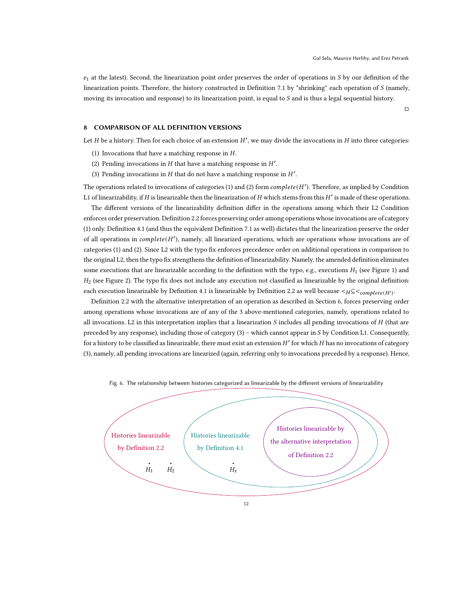$e_1$  at the latest). Second, the linearization point order preserves the order of operations in S by our definition of the linearization points. Therefore, the history constructed in Definition [7.1](#page-9-2) by "shrinking" each operation of  $S$  (namely, moving its invocation and response) to its linearization point, is equal to  $S$  and is thus a legal sequential history.

 $\Box$ 

# <span id="page-11-0"></span>8 COMPARISON OF ALL DEFINITION VERSIONS

<span id="page-11-1"></span>Let  $H$  be a history. Then for each choice of an extension  $H'$ , we may divide the invocations in  $H$  into three categories:

- <span id="page-11-2"></span>(1) Invocations that have a matching response in  $H$ .
- <span id="page-11-3"></span>(2) Pending invocations in  $H$  that have a matching response in  $H'$ .
- (3) Pending invocations in  $H$  that do not have a matching response in  $H'$ .

The operations related to invocations of categories [\(1\)](#page-11-1) and [\(2\)](#page-11-2) form  $complete(H')$ . Therefore, as implied by Condition L1 of linearizability, if  $H$  is linearizable then the linearization of  $H$  which stems from this  $H'$  is made of these operations.

The different versions of the linearizability definition differ in the operations among which their L2 Condition enforces order preservation. Definition [2.2](#page-2-1) forces preserving order among operations whose invocations are of category [\(1\)](#page-11-1) only. Definition [4.1](#page-5-3) (and thus the equivalent Definition [7.1](#page-9-2) as well) dictates that the linearization preserve the order of all operations in  $complete(H')$ , namely, all linearized operations, which are operations whose invocations are of categories [\(1\)](#page-11-1) and [\(2\)](#page-11-2). Since L2 with the typo fix enforces precedence order on additional operations in comparison to the original L2, then the typo fix strengthens the definition of linearizability. Namely, the amended definition eliminates some executions that are linearizable according to the definition with the typo, e.g., executions  $H_1$  (see Figure [1\)](#page-3-2) and  $H_2$  (see Figure [2\)](#page-4-1). The typo fix does not include any execution not classified as linearizable by the original definition: each execution linearizable by Definition [4.1](#page-5-3) is linearizable by Definition [2.2](#page-2-1) as well because  $\lt H \subseteq \lt_{complete(H')}$ .

Definition [2.2](#page-2-1) with the alternative interpretation of an operation as described in Section [6,](#page-8-0) forces preserving order among operations whose invocations are of any of the 3 above-mentioned categories, namely, operations related to all invocations. L2 in this interpretation implies that a linearization  $S$  includes all pending invocations of  $H$  (that are preceded by any response), including those of category  $(3)$  – which cannot appear in S by Condition L1. Consequently, for a history to be classified as linearizable, there must exist an extension  $H'$  for which  $H$  has no invocations of category [\(3\)](#page-11-3), namely, all pending invocations are linearized (again, referring only to invocations preceded by a response). Hence,

<span id="page-11-4"></span>

Fig. 6. The relationship between histories categorized as linearizable by the different versions of linearizability